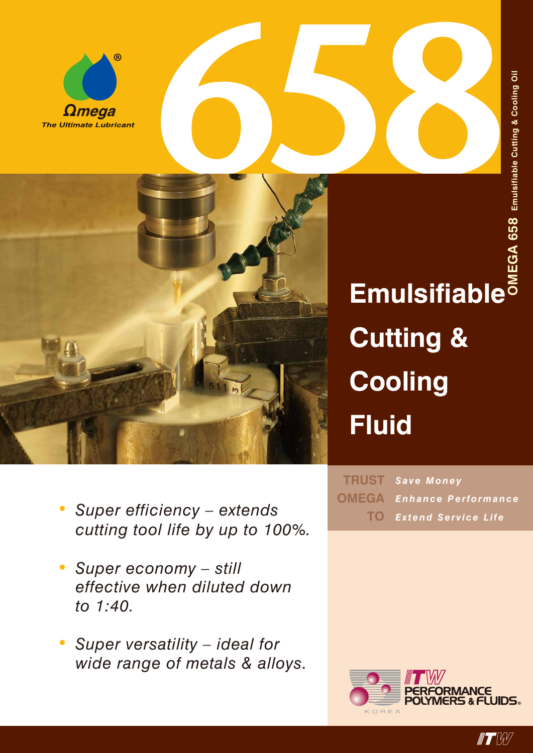



**Emulsifiable Cutting & Cooling Fluid**

*Save Money* **TRUST** *Enhance Performance Extend Service Life* **TOOMEGA**

- *• Super efficiency – extends cutting tool life by up to 100%.*
- *• Super economy – still effective when diluted down to 1:40.*
- *• Super versatility ideal for wide range of metals & alloys.*



 $\blacksquare$